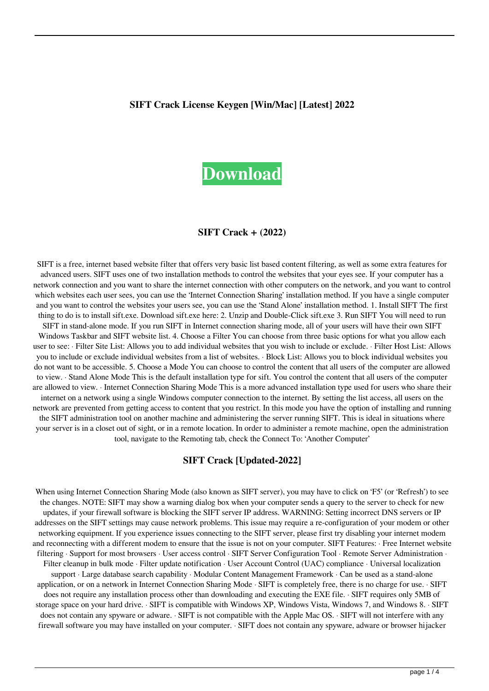#### **SIFT Crack License Keygen [Win/Mac] [Latest] 2022**



### **SIFT Crack + (2022)**

SIFT is a free, internet based website filter that offers very basic list based content filtering, as well as some extra features for advanced users. SIFT uses one of two installation methods to control the websites that your eyes see. If your computer has a network connection and you want to share the internet connection with other computers on the network, and you want to control which websites each user sees, you can use the 'Internet Connection Sharing' installation method. If you have a single computer and you want to control the websites your users see, you can use the 'Stand Alone' installation method. 1. Install SIFT The first thing to do is to install sift.exe. Download sift.exe here: 2. Unzip and Double-Click sift.exe 3. Run SIFT You will need to run SIFT in stand-alone mode. If you run SIFT in Internet connection sharing mode, all of your users will have their own SIFT Windows Taskbar and SIFT website list. 4. Choose a Filter You can choose from three basic options for what you allow each user to see: · Filter Site List: Allows you to add individual websites that you wish to include or exclude. · Filter Host List: Allows you to include or exclude individual websites from a list of websites. · Block List: Allows you to block individual websites you do not want to be accessible. 5. Choose a Mode You can choose to control the content that all users of the computer are allowed to view. · Stand Alone Mode This is the default installation type for sift. You control the content that all users of the computer are allowed to view. · Internet Connection Sharing Mode This is a more advanced installation type used for users who share their internet on a network using a single Windows computer connection to the internet. By setting the list access, all users on the network are prevented from getting access to content that you restrict. In this mode you have the option of installing and running the SIFT administration tool on another machine and administering the server running SIFT. This is ideal in situations where your server is in a closet out of sight, or in a remote location. In order to administer a remote machine, open the administration tool, navigate to the Remoting tab, check the Connect To: 'Another Computer'

### **SIFT Crack [Updated-2022]**

When using Internet Connection Sharing Mode (also known as SIFT server), you may have to click on 'F5' (or 'Refresh') to see the changes. NOTE: SIFT may show a warning dialog box when your computer sends a query to the server to check for new updates, if your firewall software is blocking the SIFT server IP address. WARNING: Setting incorrect DNS servers or IP addresses on the SIFT settings may cause network problems. This issue may require a re-configuration of your modem or other networking equipment. If you experience issues connecting to the SIFT server, please first try disabling your internet modem and reconnecting with a different modem to ensure that the issue is not on your computer. SIFT Features: · Free Internet website filtering · Support for most browsers · User access control · SIFT Server Configuration Tool · Remote Server Administration · Filter cleanup in bulk mode · Filter update notification · User Account Control (UAC) compliance · Universal localization support · Large database search capability · Modular Content Management Framework · Can be used as a stand-alone application, or on a network in Internet Connection Sharing Mode · SIFT is completely free, there is no charge for use. · SIFT does not require any installation process other than downloading and executing the EXE file. · SIFT requires only 5MB of storage space on your hard drive. · SIFT is compatible with Windows XP, Windows Vista, Windows 7, and Windows 8. · SIFT does not contain any spyware or adware. · SIFT is not compatible with the Apple Mac OS. · SIFT will not interfere with any firewall software you may have installed on your computer. · SIFT does not contain any spyware, adware or browser hijacker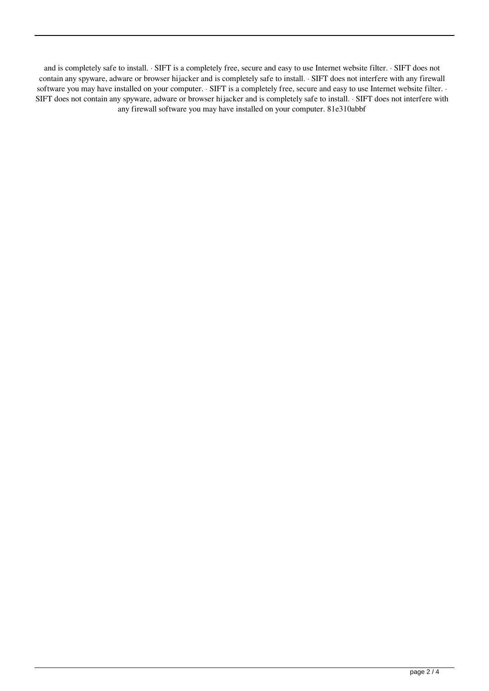and is completely safe to install. · SIFT is a completely free, secure and easy to use Internet website filter. · SIFT does not contain any spyware, adware or browser hijacker and is completely safe to install. · SIFT does not interfere with any firewall software you may have installed on your computer. · SIFT is a completely free, secure and easy to use Internet website filter. · SIFT does not contain any spyware, adware or browser hijacker and is completely safe to install. · SIFT does not interfere with any firewall software you may have installed on your computer. 81e310abbf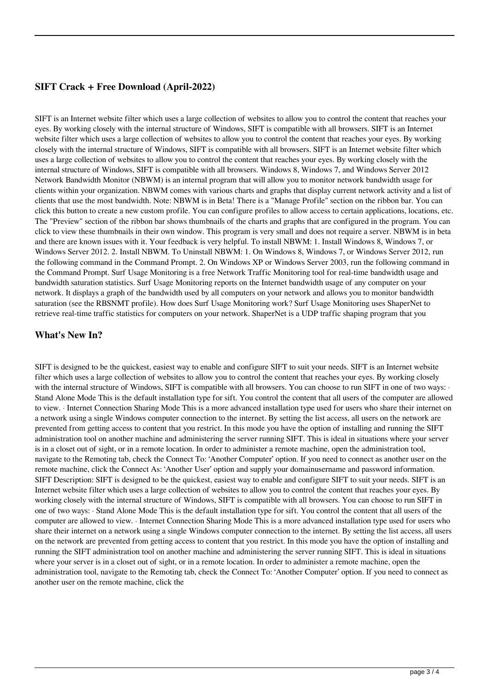## **SIFT Crack + Free Download (April-2022)**

SIFT is an Internet website filter which uses a large collection of websites to allow you to control the content that reaches your eyes. By working closely with the internal structure of Windows, SIFT is compatible with all browsers. SIFT is an Internet website filter which uses a large collection of websites to allow you to control the content that reaches your eyes. By working closely with the internal structure of Windows, SIFT is compatible with all browsers. SIFT is an Internet website filter which uses a large collection of websites to allow you to control the content that reaches your eyes. By working closely with the internal structure of Windows, SIFT is compatible with all browsers. Windows 8, Windows 7, and Windows Server 2012 Network Bandwidth Monitor (NBWM) is an internal program that will allow you to monitor network bandwidth usage for clients within your organization. NBWM comes with various charts and graphs that display current network activity and a list of clients that use the most bandwidth. Note: NBWM is in Beta! There is a "Manage Profile" section on the ribbon bar. You can click this button to create a new custom profile. You can configure profiles to allow access to certain applications, locations, etc. The "Preview" section of the ribbon bar shows thumbnails of the charts and graphs that are configured in the program. You can click to view these thumbnails in their own window. This program is very small and does not require a server. NBWM is in beta and there are known issues with it. Your feedback is very helpful. To install NBWM: 1. Install Windows 8, Windows 7, or Windows Server 2012. 2. Install NBWM. To Uninstall NBWM: 1. On Windows 8, Windows 7, or Windows Server 2012, run the following command in the Command Prompt. 2. On Windows XP or Windows Server 2003, run the following command in the Command Prompt. Surf Usage Monitoring is a free Network Traffic Monitoring tool for real-time bandwidth usage and bandwidth saturation statistics. Surf Usage Monitoring reports on the Internet bandwidth usage of any computer on your network. It displays a graph of the bandwidth used by all computers on your network and allows you to monitor bandwidth saturation (see the RBSNMT profile). How does Surf Usage Monitoring work? Surf Usage Monitoring uses ShaperNet to retrieve real-time traffic statistics for computers on your network. ShaperNet is a UDP traffic shaping program that you

### **What's New In?**

SIFT is designed to be the quickest, easiest way to enable and configure SIFT to suit your needs. SIFT is an Internet website filter which uses a large collection of websites to allow you to control the content that reaches your eyes. By working closely with the internal structure of Windows, SIFT is compatible with all browsers. You can choose to run SIFT in one of two ways:  $\cdot$ Stand Alone Mode This is the default installation type for sift. You control the content that all users of the computer are allowed to view. · Internet Connection Sharing Mode This is a more advanced installation type used for users who share their internet on a network using a single Windows computer connection to the internet. By setting the list access, all users on the network are prevented from getting access to content that you restrict. In this mode you have the option of installing and running the SIFT administration tool on another machine and administering the server running SIFT. This is ideal in situations where your server is in a closet out of sight, or in a remote location. In order to administer a remote machine, open the administration tool, navigate to the Remoting tab, check the Connect To: 'Another Computer' option. If you need to connect as another user on the remote machine, click the Connect As: 'Another User' option and supply your domainusername and password information. SIFT Description: SIFT is designed to be the quickest, easiest way to enable and configure SIFT to suit your needs. SIFT is an Internet website filter which uses a large collection of websites to allow you to control the content that reaches your eyes. By working closely with the internal structure of Windows, SIFT is compatible with all browsers. You can choose to run SIFT in one of two ways: · Stand Alone Mode This is the default installation type for sift. You control the content that all users of the computer are allowed to view. · Internet Connection Sharing Mode This is a more advanced installation type used for users who share their internet on a network using a single Windows computer connection to the internet. By setting the list access, all users on the network are prevented from getting access to content that you restrict. In this mode you have the option of installing and running the SIFT administration tool on another machine and administering the server running SIFT. This is ideal in situations where your server is in a closet out of sight, or in a remote location. In order to administer a remote machine, open the administration tool, navigate to the Remoting tab, check the Connect To: 'Another Computer' option. If you need to connect as another user on the remote machine, click the